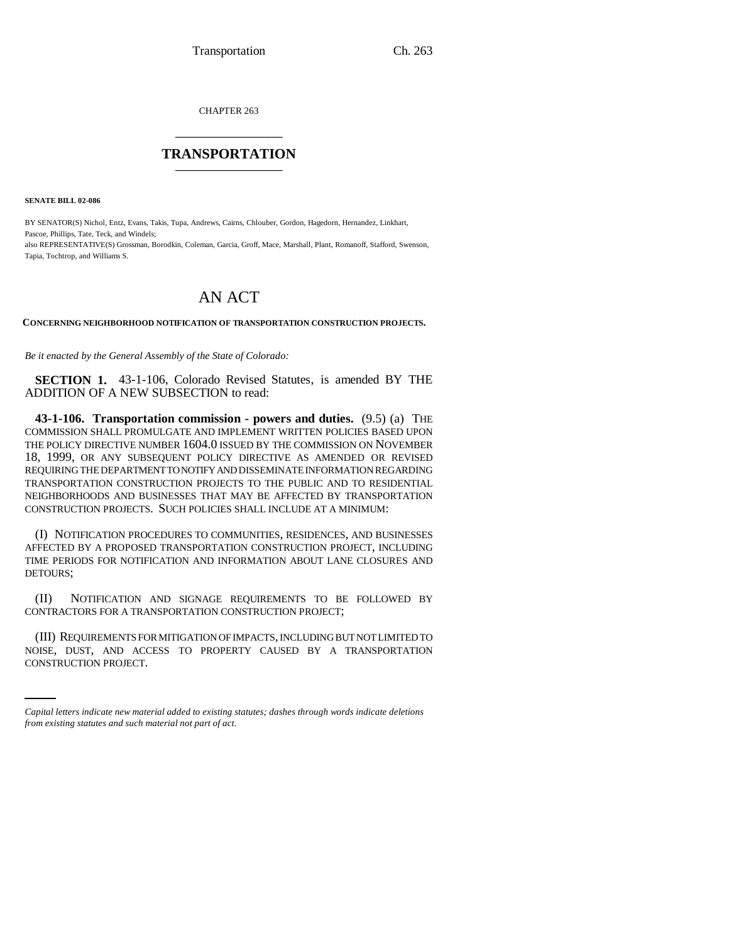CHAPTER 263 \_\_\_\_\_\_\_\_\_\_\_\_\_\_\_

## **TRANSPORTATION** \_\_\_\_\_\_\_\_\_\_\_\_\_\_\_

**SENATE BILL 02-086**

BY SENATOR(S) Nichol, Entz, Evans, Takis, Tupa, Andrews, Cairns, Chlouber, Gordon, Hagedorn, Hernandez, Linkhart, Pascoe, Phillips, Tate, Teck, and Windels; also REPRESENTATIVE(S) Grossman, Borodkin, Coleman, Garcia, Groff, Mace, Marshall, Plant, Romanoff, Stafford, Swenson, Tapia, Tochtrop, and Williams S.

## AN ACT

**CONCERNING NEIGHBORHOOD NOTIFICATION OF TRANSPORTATION CONSTRUCTION PROJECTS.**

*Be it enacted by the General Assembly of the State of Colorado:*

**SECTION 1.** 43-1-106, Colorado Revised Statutes, is amended BY THE ADDITION OF A NEW SUBSECTION to read:

**43-1-106. Transportation commission - powers and duties.** (9.5) (a) THE COMMISSION SHALL PROMULGATE AND IMPLEMENT WRITTEN POLICIES BASED UPON THE POLICY DIRECTIVE NUMBER 1604.0 ISSUED BY THE COMMISSION ON NOVEMBER 18, 1999, OR ANY SUBSEQUENT POLICY DIRECTIVE AS AMENDED OR REVISED REQUIRING THE DEPARTMENT TO NOTIFY AND DISSEMINATE INFORMATION REGARDING TRANSPORTATION CONSTRUCTION PROJECTS TO THE PUBLIC AND TO RESIDENTIAL NEIGHBORHOODS AND BUSINESSES THAT MAY BE AFFECTED BY TRANSPORTATION CONSTRUCTION PROJECTS. SUCH POLICIES SHALL INCLUDE AT A MINIMUM:

(I) NOTIFICATION PROCEDURES TO COMMUNITIES, RESIDENCES, AND BUSINESSES AFFECTED BY A PROPOSED TRANSPORTATION CONSTRUCTION PROJECT, INCLUDING TIME PERIODS FOR NOTIFICATION AND INFORMATION ABOUT LANE CLOSURES AND DETOURS;

(II) NOTIFICATION AND SIGNAGE REQUIREMENTS TO BE FOLLOWED BY CONTRACTORS FOR A TRANSPORTATION CONSTRUCTION PROJECT;

(III) REQUIREMENTS FOR MITIGATION OF IMPACTS, INCLUDING BUT NOT LIMITED TO NOISE, DUST, AND ACCESS TO PROPERTY CAUSED BY A TRANSPORTATION CONSTRUCTION PROJECT.

*Capital letters indicate new material added to existing statutes; dashes through words indicate deletions from existing statutes and such material not part of act.*